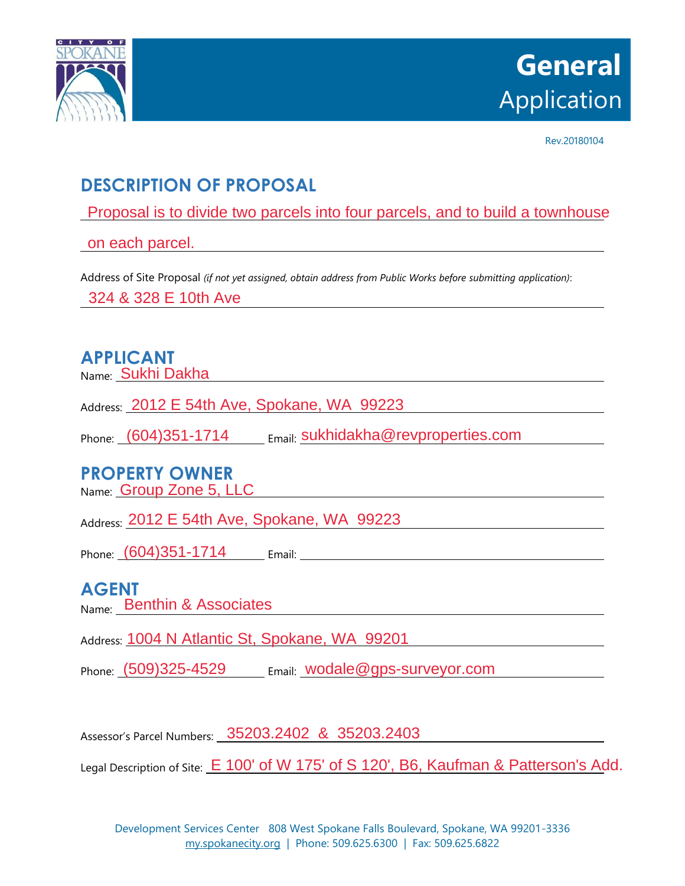

Rev.20180104

# **DESCRIPTION OF PROPOSAL**

Proposal is to divide two parcels into four parcels, and to build a townhouse<br>on each parcel.

on each parcel.

Address of Site Proposal *(if not yet assigned, obtain address from Public Works before submitting application)*:

324 & 328 E 10th Ave

### **APPLICANT**

Name: Sukhi Dakha

Address: 2012 E 54th Ave, Spokane, WA 99223

Phone: (604)351-1714 Email: Sukhidakha@revproperties.com

# **PROPERTY OWNER**

Name: Group Zone 5, LLC

Address: 2012 E 54th Ave, Spokane, WA 99223

Phone: Email:

#### **AGENT**

Name: Benthin & Associates

Address: 1004 N Atlantic St, Spokane, WA 99201

Phone: (509)325-4529 Email: wodale@gps-surveyor.com

Assessor's Parcel Numbers: 35203.2402 & 35203.2403

Legal Description of Site: E 100' of W 175' of S 120', B6, Kaufman & Patterson's Add. 9012 E 54th Ave, Spokane, WA 99223<br>
(604)351-1714 Email: sukhidakha@revproperties.com<br>
PERTY OWNER<br>
9012 E 54th Ave, Spokane, WA 99223<br>
(604)351-1714 Email:<br>
MT<br>
Benthin & Associates<br>
1004 N Atlantic St, Spokane, WA 99201<br>